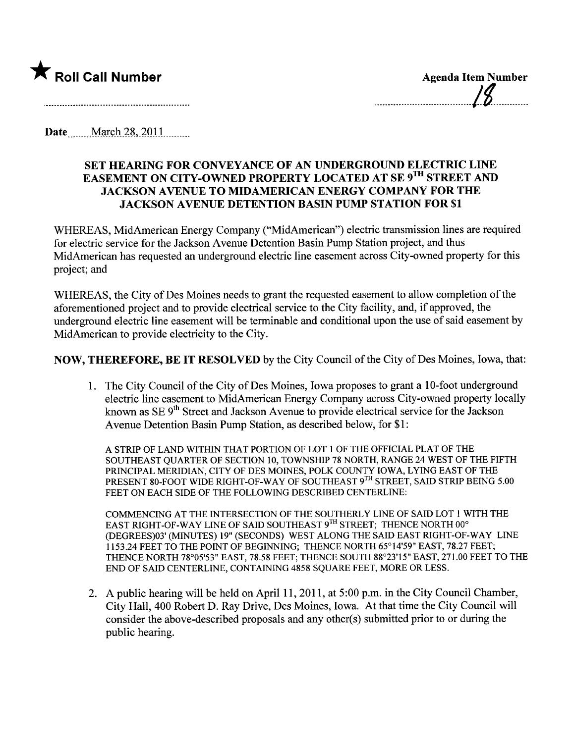

Date...  $March\,28, 2011$ 

## SET HEARING FOR CONVEYANCE OF AN UNDERGROUND ELECTRIC LINE EASEMENT ON CITY-OWNED PROPERTY LOCATED AT SE 9TH STREET AND JACKSON AVENUE TO MIDAMERICAN ENERGY COMPANY FOR THE JACKSON AVENUE DETENTION BASIN PUMP STATION FOR \$1

WHEREAS, MidAmerican Energy Company ("MidAmerican") electric transmission lines are required for electric service for the Jackson Avenue Detention Basin Pump Station project, and thus MidAmerican has requested an underground electric line easement across City-owned property for this project; and

WHEREAS, the City of Des Moines needs to grant the requested easement to allow completion of the aforementioned project and to provide electrical service to the City facility, and, if approved, the underground electric line easement will be terminable and conditional upon the use of said easement by MidAmerican to provide electricity to the City.

NOW, THEREFORE, BE IT RESOLVED by the City Council of the City of Des Moines, Iowa, that:

1. The City Council of the City of Des Moines, Iowa proposes to grant a 10- foot underground electric line easement to MidAmerican Energy Company across City-owned property locally known as SE 9<sup>th</sup> Street and Jackson Avenue to provide electrical service for the Jackson Avenue Detention Basin Pump Station, as described below, for \$1:

A STRIP OF LAND WITHIN THAT PORTION OF LOT 1 OF THE OFFICIAL PLAT OF THE SOUTHEAST QUARTER OF SECTION 10, TOWNSHIP 78 NORTH, RANGE 24 WEST OF THE FIFTH PRINCIPAL MERIDIAN, CITY OF DES MOINES, POLK COUNTY IOWA, LYING EAST OF THE PRESENT 80-FOOT WIDE RIGHT-OF-WAY OF SOUTHEAST 9TH STREET, SAID STRIP BEING 5.00 FEET ON EACH SIDE OF THE FOLLOWING DESCRIBED CENTERLINE:

COMMENCING AT THE INTERSECTION OF THE SOUTHERLY LINE OF SAID LOT 1 WITH THE EAST RIGHT-OF-WAY LINE OF SAID SOUTHEAST 9TH STREET; THENCE NORTH 00° (DEGREES)03' (MINTES) 19" (SECONDS) WEST ALONG THE SAID EAST RIGHT-OF-WAY LINE 1153.24 FEET TO THE POINT OF BEGINING; THENCE NORTH 65°14'59" EAST, 78.27 FEET; THENCE NORTH 78°05'53" EAST, 78.58 FEET; THENCE SOUTH 88°23'15" EAST, 271.00 FEET TO THE END OF SAID CENTERLINE, CONTAINING 4858 SQUARE FEET, MORE OR LESS.

2. A public hearing will be held on April 11, 2011, at 5:00 p.m. in the City Council Chamber, City Hall, 400 Robert D. Ray Drive, Des Moines, Iowa. At that time the City Council wil consider the above-described proposals and any other(s) submitted prior to or during the public hearing.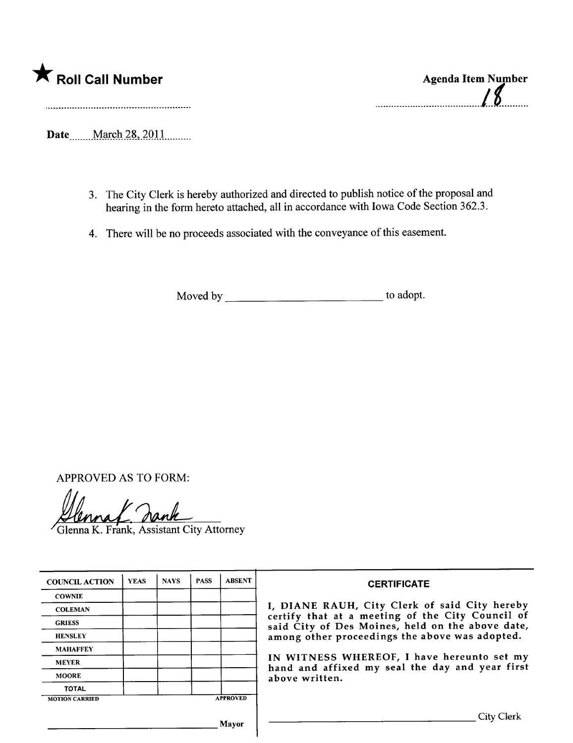

**Agenda Item Number** 

Date March 28, 2011

- 3. The City Clerk is hereby authorized and directed to publish notice of the proposal and hearing in the form hereto attached, all in accordance with Iowa Code Section 362.3.
- 4. There will be no proceeds associated with the conveyance of this easement.

Moved by to adopt.

**APPROVED AS TO FORM:** 

Glenna K. Frank, Assistant City Attorney

| <b>COUNCIL ACTION</b> | <b>YEAS</b> | <b>NAYS</b>     | <b>PASS</b> | <b>ABSENT</b> |
|-----------------------|-------------|-----------------|-------------|---------------|
| <b>COWNIE</b>         |             |                 |             |               |
| <b>COLEMAN</b>        |             |                 |             |               |
| <b>GRIESS</b>         |             |                 |             |               |
| <b>HENSLEY</b>        |             |                 |             |               |
| <b>MAHAFFEY</b>       |             |                 |             |               |
| <b>MEYER</b>          |             |                 |             |               |
| <b>MOORE</b>          |             |                 |             |               |
| <b>TOTAL</b>          |             |                 |             |               |
| <b>MOTION CARRIED</b> |             | <b>APPROVED</b> |             |               |

## **CERTIFICATE**

I, DIANE RAUH, City Clerk of said City hereby certify that at a meeting of the City Council of<br>said City of Des Moines, held on the above date, among other proceedings the above was adopted.

IN WITNESS WHEREOF, I have hereunto set my hand and affixed my seal the day and year first above written.

Mayor